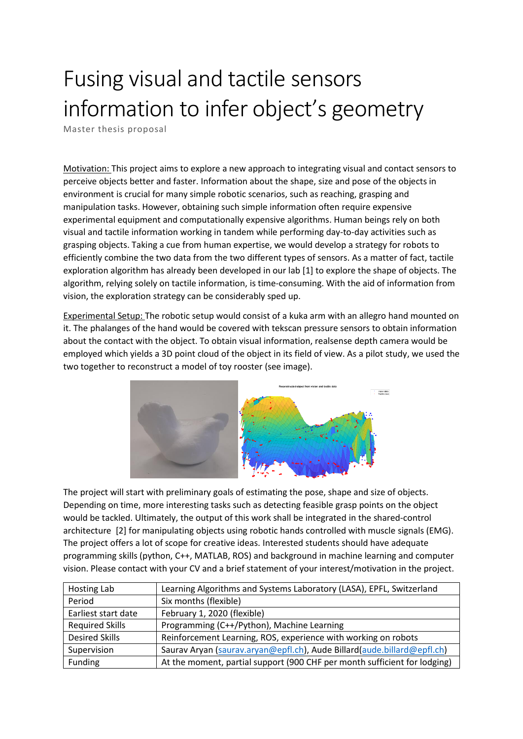## Fusing visual and tactile sensors information to infer object's geometry

Master thesis proposal

Motivation: This project aims to explore a new approach to integrating visual and contact sensors to perceive objects better and faster. Information about the shape, size and pose of the objects in environment is crucial for many simple robotic scenarios, such as reaching, grasping and manipulation tasks. However, obtaining such simple information often require expensive experimental equipment and computationally expensive algorithms. Human beings rely on both visual and tactile information working in tandem while performing day-to-day activities such as grasping objects. Taking a cue from human expertise, we would develop a strategy for robots to efficiently combine the two data from the two different types of sensors. As a matter of fact, tactile exploration algorithm has already been developed in our lab [1] to explore the shape of objects. The algorithm, relying solely on tactile information, is time-consuming. With the aid of information from vision, the exploration strategy can be considerably sped up.

Experimental Setup: The robotic setup would consist of a kuka arm with an allegro hand mounted on it. The phalanges of the hand would be covered with tekscan pressure sensors to obtain information about the contact with the object. To obtain visual information, realsense depth camera would be employed which yields a 3D point cloud of the object in its field of view. As a pilot study, we used the two together to reconstruct a model of toy rooster (see image).



The project will start with preliminary goals of estimating the pose, shape and size of objects. Depending on time, more interesting tasks such as detecting feasible grasp points on the object would be tackled. Ultimately, the output of this work shall be integrated in the shared-control architecture [2] for manipulating objects using robotic hands controlled with muscle signals (EMG). The project offers a lot of scope for creative ideas. Interested students should have adequate programming skills (python, C++, MATLAB, ROS) and background in machine learning and computer vision. Please contact with your CV and a brief statement of your interest/motivation in the project.

| Hosting Lab            | Learning Algorithms and Systems Laboratory (LASA), EPFL, Switzerland      |
|------------------------|---------------------------------------------------------------------------|
| Period                 | Six months (flexible)                                                     |
| Earliest start date    | February 1, 2020 (flexible)                                               |
| <b>Required Skills</b> | Programming (C++/Python), Machine Learning                                |
| <b>Desired Skills</b>  | Reinforcement Learning, ROS, experience with working on robots            |
| Supervision            | Saurav Aryan (saurav.aryan@epfl.ch), Aude Billard(aude.billard@epfl.ch)   |
| Funding                | At the moment, partial support (900 CHF per month sufficient for lodging) |